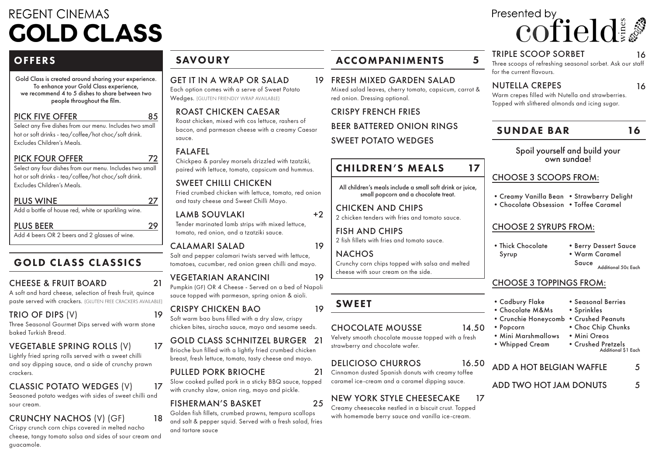# **REGENT CINEMAS GOLD CLASS**

## **OFFERS**

Gold Class is created around sharing your experience. To enhance your Gold Class experience, we recommend 4 to 5 dishes to share between two people throughout the film.

#### PICK FIVE OFFER

Select any five dishes from our menu. Includes two small hot or soft drinks - tea/coffee/hot choc/soft drink. Excludes Children's Meals.

#### PICK FOUR OFFER

Select any four dishes from our menu. Includes two small hot or soft drinks - tea/coffee/hot choc/soft drink. Excludes Children's Meals.

#### PLUS WINE

Add a bottle of house red, white or sparkling wine.

#### PLUS BEER

Add 4 beers OR 2 beers and 2 glasses of wine.

## GOLD CLASS CLASSICS

### CHEESE & FRUIT BOARD

A soft and hard cheese, selection of fresh fruit, quince paste served with crackers. (GLUTEN FREE CRACKERS AVAILABLE)

### TRIO OF DIPS (V)

Three Seasonal Gourmet Dips served with warm stone baked Turkish Bread.

## VEGETABLE SPRING ROLLS (V)

Lightly fried spring rolls served with a sweet chilli and soy dipping sauce, and a side of crunchy prawn crackers.

## CLASSIC POTATO WEDGES (V)

Seasoned potato wedges with sides of sweet chilli and sour cream.

## CRUNCHY NACHOS (V) (GF)

Crispy crunch corn chips covered in melted nacho cheese, tangy tomato salsa and sides of sour cream and guacamole.

## SAVOURY

#### GET IT IN A WRAP OR SALAD

Each option comes with a serve of Sweet Potato Wedges. (GLUTEN FRIENDLY WRAP AVAILABLE)

### ROAST CHICKEN CAESAR

Roast chicken, mixed with cos lettuce, rashers of bacon, and parmesan cheese with a creamy Caesar sauce.

#### FALAFEL

85

72

27

29

21

19

17

17

18

Chickpea & parsley morsels drizzled with tzatziki, paired with lettuce, tomato, capsicum and hummus.

#### SWEET CHILLI CHICKEN

Fried crumbed chicken with lettuce, tomato, red onion and tasty cheese and Sweet Chilli Mayo.

#### LAMB SOUVLAKI Tender marinated lamb strips with mixed lettuce,

tomato, red onion, and a tzatziki sauce.

#### CALAMARI SALAD

Salt and pepper calamari twists served with lettuce, tomatoes, cucumber, red onion green chilli and mayo.

#### VEGETARIAN ARANCINI

Pumpkin (GF) OR 4 Cheese - Served on a bed of Napoli sauce topped with parmesan, spring onion & aioli.

#### CRISPY CHICKEN BAO

Soft warm bao buns filled with a dry slaw, crispy chicken bites, siracha sauce, mayo and sesame seeds.

#### GOLD CLASS SCHNITZEL BURGER 21

Brioche bun filled with a lightly fried crumbed chicken breast, fresh lettuce, tomato, tasty cheese and mayo.

#### PULLED PORK BRIOCHE

Slow cooked pulled pork in a sticky BBQ sauce, topped with crunchy slaw, onion ring, mayo and pickle.

#### FISHERMAN'S BASKET

Golden fish fillets, crumbed prawns, tempura scallops and salt & pepper squid. Served with a fresh salad, fries and tartare sauce

## ACCOMPANIMENTS 5

19 FRESH MIXED GARDEN SALAD Mixed salad leaves, cherry tomato, capsicum, carrot & red onion. Dressing optional.

CRISPY FRENCH FRIES BEER BATTERED ONION RINGS SWEET POTATO WEDGES

## CHILDREN'S MEALS

All children's meals include a small soft drink or juice, small popcorn and a chocolate treat.

CHICKEN AND CHIPS 2 chicken tenders with fries and tomato sauce.

FISH AND CHIPS 2 fish fillets with fries and tomato sauce.

**NACHOS** Crunchy corn chips topped with salsa and melted cheese with sour cream on the side.

## SWEET

+2

19

19

19

21

25

#### CHOCOLATE MOUSSE

Velvety smooth chocolate mousse topped with a fresh strawberry and chocolate wafer.

#### DELICIOSO CHURROS

Cinnamon dusted Spanish donuts with creamy toffee caramel ice-cream and a caramel dipping sauce.

#### NEW YORK STYLE CHEESECAKE 17

Creamy cheesecake nestled in a biscuit crust. Topped with homemade berry sauce and vanilla ice-cream.

#### TRIPLE SCOOP SORBET

Presented by

Three scoops of refreshing seasonal sorbet. Ask our staff for the current flavours.

cofield

#### NUTELLA CREPES

16

16

Warm crepes filled with Nutella and strawberries. Topped with slithered almonds and icing sugar.

### SUNDAE BAR

16

# Spoil yourself and build your own sundae!

#### CHOOSE 3 SCOOPS FROM:

- •Creamy Vanilla Bean •Strawberry Delight
- Chocolate Obsession Toffee Caramel

#### CHOOSE 2 SYRUPS FROM:

•Berry Dessert Sauce

## CHOOSE 3 TOPPINGS FROM:

- •Cadbury Flake •Seasonal Berries
- •Chocolate M&Ms •Sprinkles
- •Crunchie Honeycomb •Crushed Peanuts
- •Popcorn •Choc Chip Chunks
- •Mini Marshmallows •Mini Oreos
- •Whipped Cream •Crushed Pretzels

Additional \$1 Each

#### 16.50 ADD A HOT BELGIAN WAFFLE 5

ADD TWO HOT JAM DONUTS 5

•Thick Chocolate Syrup

#### •Warm Caramel Sauce Additional 50c Each

17

14.50